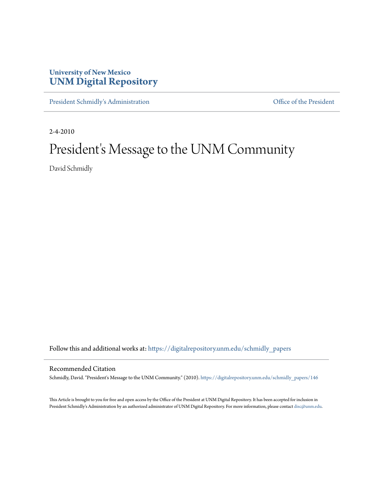### **University of New Mexico [UNM Digital Repository](https://digitalrepository.unm.edu?utm_source=digitalrepository.unm.edu%2Fschmidly_papers%2F146&utm_medium=PDF&utm_campaign=PDFCoverPages)**

[President Schmidly's Administration](https://digitalrepository.unm.edu/schmidly_papers?utm_source=digitalrepository.unm.edu%2Fschmidly_papers%2F146&utm_medium=PDF&utm_campaign=PDFCoverPages) [Office of the President](https://digitalrepository.unm.edu/ofc_president?utm_source=digitalrepository.unm.edu%2Fschmidly_papers%2F146&utm_medium=PDF&utm_campaign=PDFCoverPages)

2-4-2010

# President's Message to the UNM Community

David Schmidly

Follow this and additional works at: [https://digitalrepository.unm.edu/schmidly\\_papers](https://digitalrepository.unm.edu/schmidly_papers?utm_source=digitalrepository.unm.edu%2Fschmidly_papers%2F146&utm_medium=PDF&utm_campaign=PDFCoverPages)

#### Recommended Citation

Schmidly, David. "President's Message to the UNM Community." (2010). [https://digitalrepository.unm.edu/schmidly\\_papers/146](https://digitalrepository.unm.edu/schmidly_papers/146?utm_source=digitalrepository.unm.edu%2Fschmidly_papers%2F146&utm_medium=PDF&utm_campaign=PDFCoverPages)

This Article is brought to you for free and open access by the Office of the President at UNM Digital Repository. It has been accepted for inclusion in President Schmidly's Administration by an authorized administrator of UNM Digital Repository. For more information, please contact [disc@unm.edu](mailto:disc@unm.edu).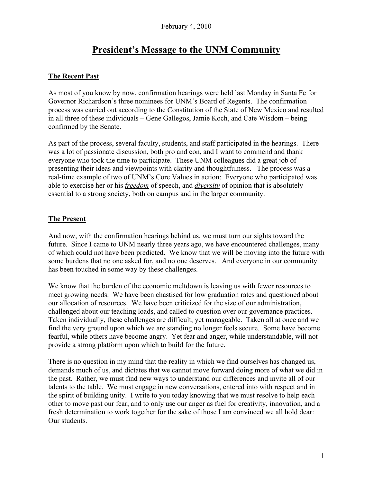## **President's Message to the UNM Community**

### **The Recent Past**

As most of you know by now, confirmation hearings were held last Monday in Santa Fe for Governor Richardson's three nominees for UNM's Board of Regents. The confirmation process was carried out according to the Constitution of the State of New Mexico and resulted in all three of these individuals – Gene Gallegos, Jamie Koch, and Cate Wisdom – being confirmed by the Senate.

As part of the process, several faculty, students, and staff participated in the hearings. There was a lot of passionate discussion, both pro and con, and I want to commend and thank everyone who took the time to participate. These UNM colleagues did a great job of presenting their ideas and viewpoints with clarity and thoughtfulness. The process was a real-time example of two of UNM's Core Values in action: Everyone who participated was able to exercise her or his *freedom* of speech, and *diversity* of opinion that is absolutely essential to a strong society, both on campus and in the larger community.

### **The Present**

And now, with the confirmation hearings behind us, we must turn our sights toward the future. Since I came to UNM nearly three years ago, we have encountered challenges, many of which could not have been predicted. We know that we will be moving into the future with some burdens that no one asked for, and no one deserves. And everyone in our community has been touched in some way by these challenges.

We know that the burden of the economic meltdown is leaving us with fewer resources to meet growing needs. We have been chastised for low graduation rates and questioned about our allocation of resources. We have been criticized for the size of our administration, challenged about our teaching loads, and called to question over our governance practices. Taken individually, these challenges are difficult, yet manageable. Taken all at once and we find the very ground upon which we are standing no longer feels secure. Some have become fearful, while others have become angry. Yet fear and anger, while understandable, will not provide a strong platform upon which to build for the future.

There is no question in my mind that the reality in which we find ourselves has changed us, demands much of us, and dictates that we cannot move forward doing more of what we did in the past. Rather, we must find new ways to understand our differences and invite all of our talents to the table. We must engage in new conversations, entered into with respect and in the spirit of building unity. I write to you today knowing that we must resolve to help each other to move past our fear, and to only use our anger as fuel for creativity, innovation, and a fresh determination to work together for the sake of those I am convinced we all hold dear: Our students.